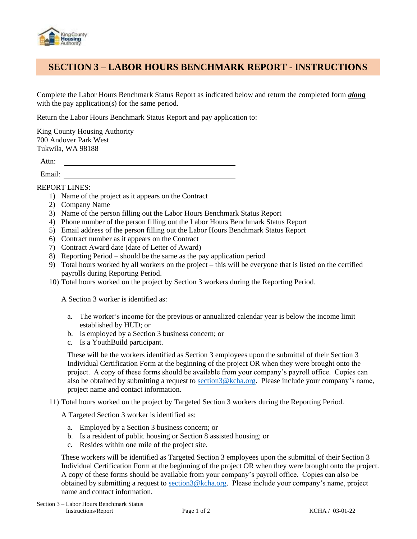

## **SECTION 3 – LABOR HOURS BENCHMARK REPORT - INSTRUCTIONS**

Complete the Labor Hours Benchmark Status Report as indicated below and return the completed form *along* with the pay application(s) for the same period.

Return the Labor Hours Benchmark Status Report and pay application to:

King County Housing Authority 700 Andover Park West Tukwila, WA 98188

Attn:

Email:

REPORT LINES:

- 1) Name of the project as it appears on the Contract
- 2) Company Name
- 3) Name of the person filling out the Labor Hours Benchmark Status Report
- 4) Phone number of the person filling out the Labor Hours Benchmark Status Report
- 5) Email address of the person filling out the Labor Hours Benchmark Status Report
- 6) Contract number as it appears on the Contract
- 7) Contract Award date (date of Letter of Award)
- 8) Reporting Period should be the same as the pay application period
- 9) Total hours worked by all workers on the project this will be everyone that is listed on the certified payrolls during Reporting Period.
- 10) Total hours worked on the project by Section 3 workers during the Reporting Period.

A Section 3 worker is identified as:

- a. The worker's income for the previous or annualized calendar year is below the income limit established by HUD; or
- b. Is employed by a Section 3 business concern; or
- c. Is a YouthBuild participant.

These will be the workers identified as Section 3 employees upon the submittal of their Section 3 Individual Certification Form at the beginning of the project OR when they were brought onto the project. A copy of these forms should be available from your company's payroll office. Copies can also be obtained by submitting a request to [section3@kcha.org.](mailto:section3@kcha.org) Please include your company's name, project name and contact information.

11) Total hours worked on the project by Targeted Section 3 workers during the Reporting Period.

A Targeted Section 3 worker is identified as:

- a. Employed by a Section 3 business concern; or
- b. Is a resident of public housing or Section 8 assisted housing; or
- c. Resides within one mile of the project site.

These workers will be identified as Targeted Section 3 employees upon the submittal of their Section 3 Individual Certification Form at the beginning of the project OR when they were brought onto the project. A copy of these forms should be available from your company's payroll office. Copies can also be obtained by submitting a request to [section3@kcha.org.](mailto:section3@kcha.org) Please include your company's name, project name and contact information.